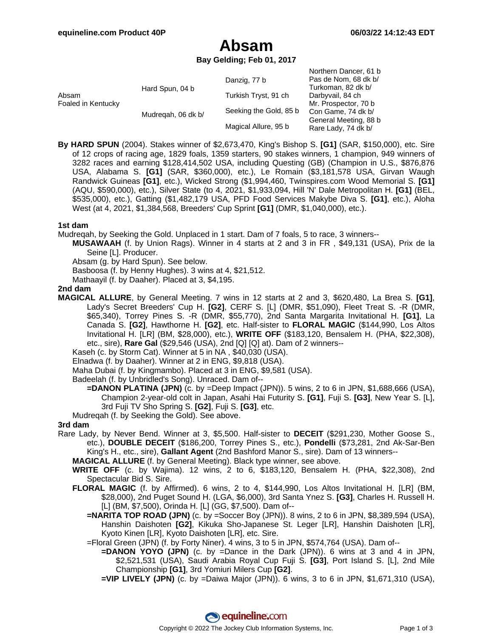## **Absam**

**Bay Gelding; Feb 01, 2017**

| Absam<br>Foaled in Kentucky | Hard Spun, 04 b    | Danzig, 77 b           | Northern Dancer, 61 b<br>Pas de Nom, 68 dk b/<br>Turkoman, 82 dk b/ |
|-----------------------------|--------------------|------------------------|---------------------------------------------------------------------|
|                             |                    | Turkish Tryst, 91 ch   | Darbyvail, 84 ch                                                    |
|                             |                    |                        | Mr. Prospector, 70 b                                                |
|                             | Mudregah, 06 dk b/ | Seeking the Gold, 85 b | Con Game, 74 dk b/                                                  |
|                             |                    | Magical Allure, 95 b   | General Meeting, 88 b<br>Rare Lady, 74 dk b/                        |

**By HARD SPUN** (2004). Stakes winner of \$2,673,470, King's Bishop S. **[G1]** (SAR, \$150,000), etc. Sire of 12 crops of racing age, 1829 foals, 1359 starters, 90 stakes winners, 1 champion, 949 winners of 3282 races and earning \$128,414,502 USA, including Questing (GB) (Champion in U.S., \$876,876 USA, Alabama S. **[G1]** (SAR, \$360,000), etc.), Le Romain (\$3,181,578 USA, Girvan Waugh Randwick Guineas **[G1]**, etc.), Wicked Strong (\$1,994,460, Twinspires.com Wood Memorial S. **[G1]** (AQU, \$590,000), etc.), Silver State (to 4, 2021, \$1,933,094, Hill 'N' Dale Metropolitan H. **[G1]** (BEL, \$535,000), etc.), Gatting (\$1,482,179 USA, PFD Food Services Makybe Diva S. **[G1]**, etc.), Aloha West (at 4, 2021, \$1,384,568, Breeders' Cup Sprint **[G1]** (DMR, \$1,040,000), etc.).

### **1st dam**

Mudreqah, by Seeking the Gold. Unplaced in 1 start. Dam of 7 foals, 5 to race, 3 winners--

- **MUSAWAAH** (f. by Union Rags). Winner in 4 starts at 2 and 3 in FR , \$49,131 (USA), Prix de la Seine [L]. Producer.
	- Absam (g. by Hard Spun). See below.

Basboosa (f. by Henny Hughes). 3 wins at 4, \$21,512.

Mathaayil (f. by Daaher). Placed at 3, \$4,195.

#### **2nd dam**

**MAGICAL ALLURE**, by General Meeting. 7 wins in 12 starts at 2 and 3, \$620,480, La Brea S. **[G1]**, Lady's Secret Breeders' Cup H. **[G2]**, CERF S. [L] (DMR, \$51,090), Fleet Treat S. -R (DMR, \$65,340), Torrey Pines S. -R (DMR, \$55,770), 2nd Santa Margarita Invitational H. **[G1]**, La Canada S. **[G2]**, Hawthorne H. **[G2]**, etc. Half-sister to **FLORAL MAGIC** (\$144,990, Los Altos Invitational H. [LR] (BM, \$28,000), etc.), **WRITE OFF** (\$183,120, Bensalem H. (PHA, \$22,308), etc., sire), **Rare Gal** (\$29,546 (USA), 2nd [Q] [Q] at). Dam of 2 winners--

Kaseh (c. by Storm Cat). Winner at 5 in NA , \$40,030 (USA).

Elnadwa (f. by Daaher). Winner at 2 in ENG, \$9,818 (USA).

Maha Dubai (f. by Kingmambo). Placed at 3 in ENG, \$9,581 (USA).

Badeelah (f. by Unbridled's Song). Unraced. Dam of--

**=DANON PLATINA (JPN)** (c. by =Deep Impact (JPN)). 5 wins, 2 to 6 in JPN, \$1,688,666 (USA), Champion 2-year-old colt in Japan, Asahi Hai Futurity S. **[G1]**, Fuji S. **[G3]**, New Year S. [L], 3rd Fuji TV Sho Spring S. **[G2]**, Fuji S. **[G3]**, etc.

Mudreqah (f. by Seeking the Gold). See above.

#### **3rd dam**

Rare Lady, by Never Bend. Winner at 3, \$5,500. Half-sister to **DECEIT** (\$291,230, Mother Goose S., etc.), **DOUBLE DECEIT** (\$186,200, Torrey Pines S., etc.), **Pondelli** (\$73,281, 2nd Ak-Sar-Ben King's H., etc., sire), **Gallant Agent** (2nd Bashford Manor S., sire). Dam of 13 winners--

**MAGICAL ALLURE** (f. by General Meeting). Black type winner, see above.

- **WRITE OFF** (c. by Wajima). 12 wins, 2 to 6, \$183,120, Bensalem H. (PHA, \$22,308), 2nd Spectacular Bid S. Sire.
- **FLORAL MAGIC** (f. by Affirmed). 6 wins, 2 to 4, \$144,990, Los Altos Invitational H. [LR] (BM, \$28,000), 2nd Puget Sound H. (LGA, \$6,000), 3rd Santa Ynez S. **[G3]**, Charles H. Russell H. [L] (BM, \$7,500), Orinda H. [L] (GG, \$7,500). Dam of--
	- **=NARITA TOP ROAD (JPN)** (c. by =Soccer Boy (JPN)). 8 wins, 2 to 6 in JPN, \$8,389,594 (USA), Hanshin Daishoten **[G2]**, Kikuka Sho-Japanese St. Leger [LR], Hanshin Daishoten [LR], Kyoto Kinen [LR], Kyoto Daishoten [LR], etc. Sire.

=Floral Green (JPN) (f. by Forty Niner). 4 wins, 3 to 5 in JPN, \$574,764 (USA). Dam of--

**=DANON YOYO (JPN)** (c. by =Dance in the Dark (JPN)). 6 wins at 3 and 4 in JPN, \$2,521,531 (USA), Saudi Arabia Royal Cup Fuji S. **[G3]**, Port Island S. [L], 2nd Mile Championship **[G1]**, 3rd Yomiuri Milers Cup **[G2]**.

**=VIP LIVELY (JPN)** (c. by =Daiwa Major (JPN)). 6 wins, 3 to 6 in JPN, \$1,671,310 (USA),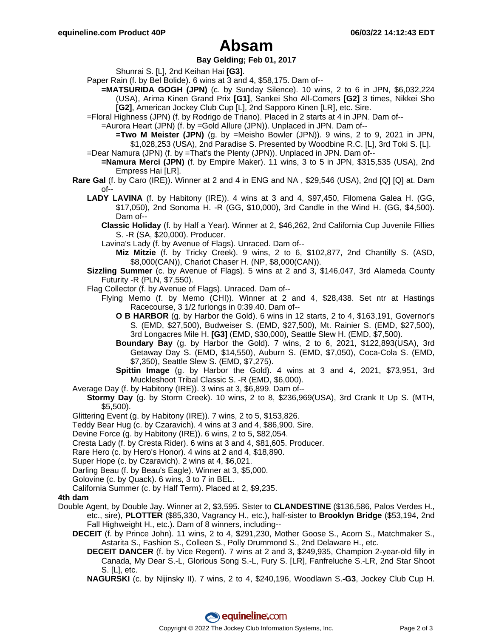## **Absam**

### **Bay Gelding; Feb 01, 2017**

Shunrai S. [L], 2nd Keihan Hai **[G3]**.

- Paper Rain (f. by Bel Bolide). 6 wins at 3 and 4, \$58,175. Dam of--
	- **=MATSURIDA GOGH (JPN)** (c. by Sunday Silence). 10 wins, 2 to 6 in JPN, \$6,032,224 (USA), Arima Kinen Grand Prix **[G1]**, Sankei Sho All-Comers **[G2]** 3 times, Nikkei Sho **[G2]**, American Jockey Club Cup [L], 2nd Sapporo Kinen [LR], etc. Sire.
- =Floral Highness (JPN) (f. by Rodrigo de Triano). Placed in 2 starts at 4 in JPN. Dam of--
	- =Aurora Heart (JPN) (f. by =Gold Allure (JPN)). Unplaced in JPN. Dam of--
		- **=Two M Meister (JPN)** (g. by =Meisho Bowler (JPN)). 9 wins, 2 to 9, 2021 in JPN, \$1,028,253 (USA), 2nd Paradise S. Presented by Woodbine R.C. [L], 3rd Toki S. [L].
- =Dear Namura (JPN) (f. by =That's the Plenty (JPN)). Unplaced in JPN. Dam of--
- **=Namura Merci (JPN)** (f. by Empire Maker). 11 wins, 3 to 5 in JPN, \$315,535 (USA), 2nd Empress Hai [LR].
- **Rare Gal** (f. by Caro (IRE)). Winner at 2 and 4 in ENG and NA , \$29,546 (USA), 2nd [Q] [Q] at. Dam  $of--$ 
	- **LADY LAVINA** (f. by Habitony (IRE)). 4 wins at 3 and 4, \$97,450, Filomena Galea H. (GG, \$17,050), 2nd Sonoma H. -R (GG, \$10,000), 3rd Candle in the Wind H. (GG, \$4,500). Dam of--
		- **Classic Holiday** (f. by Half a Year). Winner at 2, \$46,262, 2nd California Cup Juvenile Fillies S. -R (SA, \$20,000). Producer.
		- Lavina's Lady (f. by Avenue of Flags). Unraced. Dam of--
			- **Miz Mitzie** (f. by Tricky Creek). 9 wins, 2 to 6, \$102,877, 2nd Chantilly S. (ASD, \$8,000(CAN)), Chariot Chaser H. (NP, \$8,000(CAN)).
	- **Sizzling Summer** (c. by Avenue of Flags). 5 wins at 2 and 3, \$146,047, 3rd Alameda County Futurity -R (PLN, \$7,550).
	- Flag Collector (f. by Avenue of Flags). Unraced. Dam of--
		- Flying Memo (f. by Memo (CHI)). Winner at 2 and 4, \$28,438. Set ntr at Hastings Racecourse, 3 1/2 furlongs in 0:39.40. Dam of--
			- **O B HARBOR** (g. by Harbor the Gold). 6 wins in 12 starts, 2 to 4, \$163,191, Governor's S. (EMD, \$27,500), Budweiser S. (EMD, \$27,500), Mt. Rainier S. (EMD, \$27,500), 3rd Longacres Mile H. **[G3]** (EMD, \$30,000), Seattle Slew H. (EMD, \$7,500).
			- **Boundary Bay** (g. by Harbor the Gold). 7 wins, 2 to 6, 2021, \$122,893(USA), 3rd Getaway Day S. (EMD, \$14,550), Auburn S. (EMD, \$7,050), Coca-Cola S. (EMD, \$7,350), Seattle Slew S. (EMD, \$7,275).
			- **Spittin Image** (g. by Harbor the Gold). 4 wins at 3 and 4, 2021, \$73,951, 3rd Muckleshoot Tribal Classic S. -R (EMD, \$6,000).
- Average Day (f. by Habitony (IRE)). 3 wins at 3, \$6,899. Dam of--
	- **Stormy Day** (g. by Storm Creek). 10 wins, 2 to 8, \$236,969(USA), 3rd Crank It Up S. (MTH, \$5,500).
- Glittering Event (g. by Habitony (IRE)). 7 wins, 2 to 5, \$153,826.
- Teddy Bear Hug (c. by Czaravich). 4 wins at 3 and 4, \$86,900. Sire.
- Devine Force (g. by Habitony (IRE)). 6 wins, 2 to 5, \$82,054.
- Cresta Lady (f. by Cresta Rider). 6 wins at 3 and 4, \$81,605. Producer.
- Rare Hero (c. by Hero's Honor). 4 wins at 2 and 4, \$18,890.
- Super Hope (c. by Czaravich). 2 wins at 4, \$6,021.
- Darling Beau (f. by Beau's Eagle). Winner at 3, \$5,000.
- Golovine (c. by Quack). 6 wins, 3 to 7 in BEL.
- California Summer (c. by Half Term). Placed at 2, \$9,235.

### **4th dam**

- Double Agent, by Double Jay. Winner at 2, \$3,595. Sister to **CLANDESTINE** (\$136,586, Palos Verdes H., etc., sire), **PLOTTER** (\$85,330, Vagrancy H., etc.), half-sister to **Brooklyn Bridge** (\$53,194, 2nd Fall Highweight H., etc.). Dam of 8 winners, including--
	- **DECEIT** (f. by Prince John). 11 wins, 2 to 4, \$291,230, Mother Goose S., Acorn S., Matchmaker S., Astarita S., Fashion S., Colleen S., Polly Drummond S., 2nd Delaware H., etc.
		- **DECEIT DANCER** (f. by Vice Regent). 7 wins at 2 and 3, \$249,935, Champion 2-year-old filly in Canada, My Dear S.-L, Glorious Song S.-L, Fury S. [LR], Fanfreluche S.-LR, 2nd Star Shoot S. [L], etc.
		- **NAGURSKI** (c. by Nijinsky II). 7 wins, 2 to 4, \$240,196, Woodlawn S.**-G3**, Jockey Club Cup H.